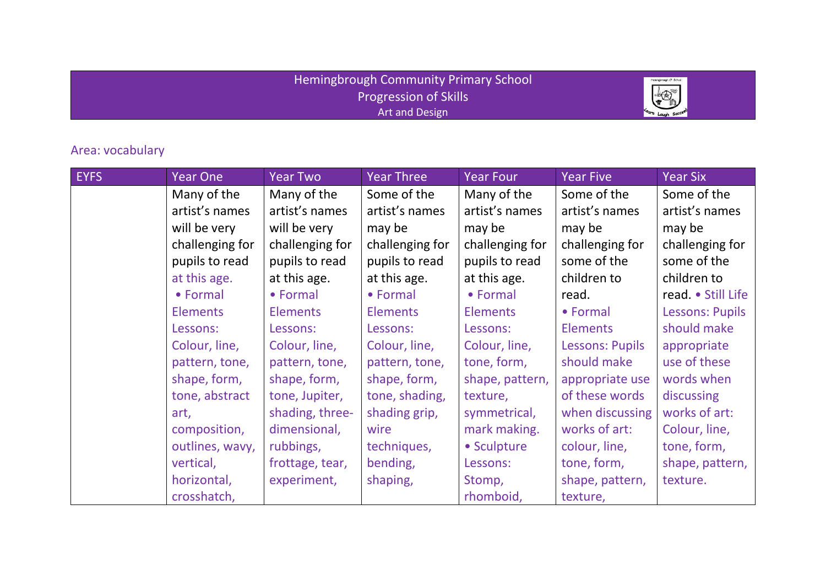## Hemingbrough Community Primary School Progression of Skills Art and Design



## Area: vocabulary

| <b>EYFS</b> | <b>Year One</b> | <b>Year Two</b> | <b>Year Three</b> | Year Four       | <b>Year Five</b>       | <b>Year Six</b>        |
|-------------|-----------------|-----------------|-------------------|-----------------|------------------------|------------------------|
|             | Many of the     | Many of the     | Some of the       | Many of the     | Some of the            | Some of the            |
|             | artist's names  | artist's names  | artist's names    | artist's names  | artist's names         | artist's names         |
|             | will be very    | will be very    | may be            | may be          | may be                 | may be                 |
|             | challenging for | challenging for | challenging for   | challenging for | challenging for        | challenging for        |
|             | pupils to read  | pupils to read  | pupils to read    | pupils to read  | some of the            | some of the            |
|             | at this age.    | at this age.    | at this age.      | at this age.    | children to            | children to            |
|             | • Formal        | • Formal        | • Formal          | • Formal        | read.                  | read. • Still Life     |
|             | <b>Elements</b> | <b>Elements</b> | <b>Elements</b>   | <b>Elements</b> | • Formal               | <b>Lessons: Pupils</b> |
|             | Lessons:        | Lessons:        | Lessons:          | Lessons:        | <b>Elements</b>        | should make            |
|             | Colour, line,   | Colour, line,   | Colour, line,     | Colour, line,   | <b>Lessons: Pupils</b> | appropriate            |
|             | pattern, tone,  | pattern, tone,  | pattern, tone,    | tone, form,     | should make            | use of these           |
|             | shape, form,    | shape, form,    | shape, form,      | shape, pattern, | appropriate use        | words when             |
|             | tone, abstract  | tone, Jupiter,  | tone, shading,    | texture,        | of these words         | discussing             |
|             | art,            | shading, three- | shading grip,     | symmetrical,    | when discussing        | works of art:          |
|             | composition,    | dimensional,    | wire              | mark making.    | works of art:          | Colour, line,          |
|             | outlines, wavy, | rubbings,       | techniques,       | • Sculpture     | colour, line,          | tone, form,            |
|             | vertical,       | frottage, tear, | bending,          | Lessons:        | tone, form,            | shape, pattern,        |
|             | horizontal,     | experiment,     | shaping,          | Stomp,          | shape, pattern,        | texture.               |
|             | crosshatch,     |                 |                   | rhomboid,       | texture,               |                        |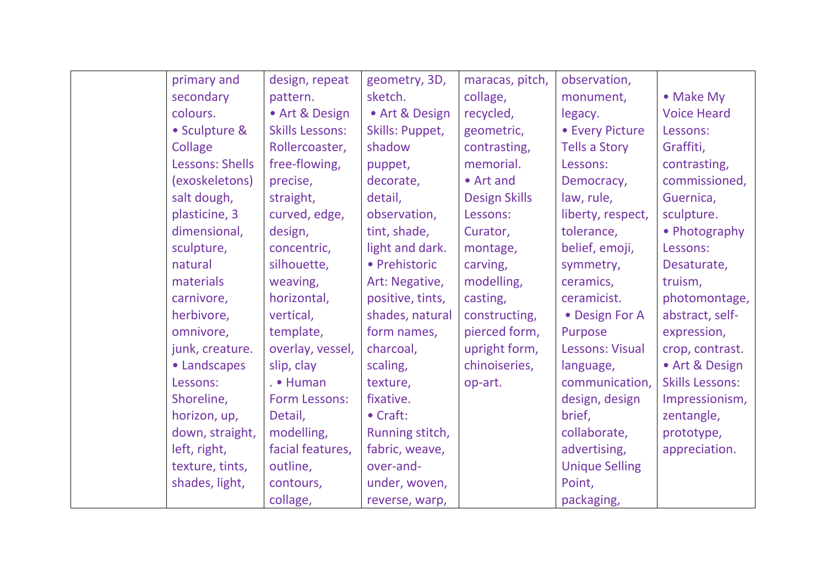| primary and     | design, repeat         | geometry, 3D,    | maracas, pitch,      | observation,          |                        |
|-----------------|------------------------|------------------|----------------------|-----------------------|------------------------|
| secondary       | pattern.               | sketch.          | collage,             | monument,             | • Make My              |
| colours.        | • Art & Design         | · Art & Design   | recycled,            | legacy.               | <b>Voice Heard</b>     |
| • Sculpture &   | <b>Skills Lessons:</b> | Skills: Puppet,  | geometric,           | • Every Picture       | Lessons:               |
| Collage         | Rollercoaster,         | shadow           | contrasting,         | <b>Tells a Story</b>  | Graffiti,              |
| Lessons: Shells | free-flowing,          | puppet,          | memorial.            | Lessons:              | contrasting,           |
| (exoskeletons)  | precise,               | decorate,        | • Art and            | Democracy,            | commissioned,          |
| salt dough,     | straight,              | detail,          | <b>Design Skills</b> | law, rule,            | Guernica,              |
| plasticine, 3   | curved, edge,          | observation,     | Lessons:             | liberty, respect,     | sculpture.             |
| dimensional,    | design,                | tint, shade,     | Curator,             | tolerance,            | • Photography          |
| sculpture,      | concentric,            | light and dark.  | montage,             | belief, emoji,        | Lessons:               |
| natural         | silhouette,            | • Prehistoric    | carving,             | symmetry,             | Desaturate,            |
| materials       | weaving,               | Art: Negative,   | modelling,           | ceramics,             | truism,                |
| carnivore,      | horizontal,            | positive, tints, | casting,             | ceramicist.           | photomontage,          |
| herbivore,      | vertical,              | shades, natural  | constructing,        | • Design For A        | abstract, self-        |
| omnivore,       | template,              | form names,      | pierced form,        | Purpose               | expression,            |
| junk, creature. | overlay, vessel,       | charcoal,        | upright form,        | Lessons: Visual       | crop, contrast.        |
| • Landscapes    | slip, clay             | scaling,         | chinoiseries,        | language,             | • Art & Design         |
| Lessons:        | . • Human              | texture,         | op-art.              | communication,        | <b>Skills Lessons:</b> |
| Shoreline,      | Form Lessons:          | fixative.        |                      | design, design        | Impressionism,         |
| horizon, up,    | Detail,                | • Craft:         |                      | brief,                | zentangle,             |
| down, straight, | modelling,             | Running stitch,  |                      | collaborate,          | prototype,             |
| left, right,    | facial features,       | fabric, weave,   |                      | advertising,          | appreciation.          |
| texture, tints, | outline,               | over-and-        |                      | <b>Unique Selling</b> |                        |
| shades, light,  | contours,              | under, woven,    |                      | Point,                |                        |
|                 | collage,               | reverse, warp,   |                      | packaging,            |                        |